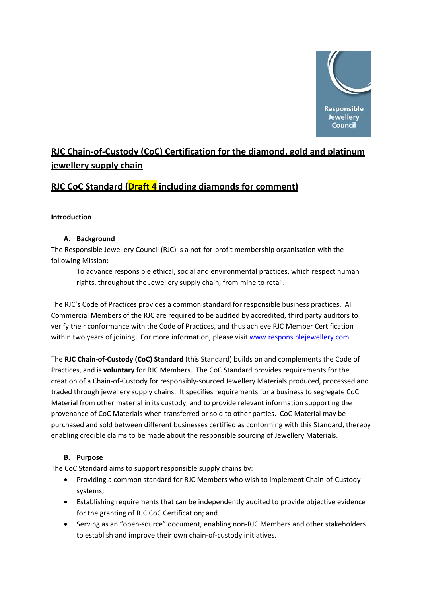

# **RJC Chain‐of‐Custody (CoC) Certification for the diamond, gold and platinum jewellery supply chain**

# **RJC CoC Standard (Draft 4 including diamonds for comment)**

# **Introduction**

# **A. Background**

The Responsible Jewellery Council (RJC) is a not‐for‐profit membership organisation with the following Mission:

To advance responsible ethical, social and environmental practices, which respect human rights, throughout the Jewellery supply chain, from mine to retail.

The RJC's Code of Practices provides a common standard for responsible business practices. All Commercial Members of the RJC are required to be audited by accredited, third party auditors to verify their conformance with the Code of Practices, and thus achieve RJC Member Certification within two years of joining. For more information, please visit [www.responsiblejewellery.com](http://www.responsiblejewellery.com/)

The **RJC Chain‐of‐Custody (CoC) Standard** (this Standard) builds on and complements the Code of Practices, and is **voluntary** for RJC Members. The CoC Standard provides requirements for the creation of a Chain‐of‐Custody for responsibly‐sourced Jewellery Materials produced, processed and traded through jewellery supply chains. It specifies requirements for a business to segregate CoC Material from other material in its custody, and to provide relevant information supporting the provenance of CoC Materials when transferred or sold to other parties. CoC Material may be purchased and sold between different businesses certified as conforming with this Standard, thereby enabling credible claims to be made about the responsible sourcing of Jewellery Materials.

# **B. Purpose**

The CoC Standard aims to support responsible supply chains by:

- Providing a common standard for RJC Members who wish to implement Chain‐of‐Custody systems;
- Establishing requirements that can be independently audited to provide objective evidence for the granting of RJC CoC Certification; and
- Serving as an "open‐source" document, enabling non‐RJC Members and other stakeholders to establish and improve their own chain‐of‐custody initiatives.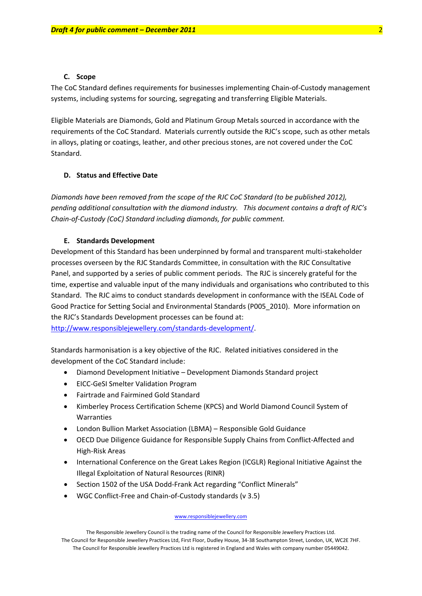### **C. Scope**

The CoC Standard defines requirements for businesses implementing Chain‐of‐Custody management systems, including systems for sourcing, segregating and transferring Eligible Materials.

Eligible Materials are Diamonds, Gold and Platinum Group Metals sourced in accordance with the requirements of the CoC Standard. Materials currently outside the RJC's scope, such as other metals in alloys, plating or coatings, leather, and other precious stones, are not covered under the CoC Standard.

### **D. Status and Effective Date**

*Diamonds have been removed from the scope of the RJC CoC Standard (to be published 2012), pending additional consultation with the diamond industry. This document contains a draft of RJC's Chain‐of‐Custody (CoC) Standard including diamonds, for public comment.*

#### **E. Standards Development**

Development of this Standard has been underpinned by formal and transparent multi‐stakeholder processes overseen by the RJC Standards Committee, in consultation with the RJC Consultative Panel, and supported by a series of public comment periods. The RJC is sincerely grateful for the time, expertise and valuable input of the many individuals and organisations who contributed to this Standard. The RJC aims to conduct standards development in conformance with the ISEAL Code of Good Practice for Setting Social and Environmental Standards (P005\_2010). More information on the RJC's Standards Development processes can be found at:

[http://www.responsiblejewellery.com/standards](http://www.responsiblejewellery.com/standards-development/)‐development/.

Standards harmonisation is a key objective of the RJC. Related initiatives considered in the development of the CoC Standard include:

- Diamond Development Initiative Development Diamonds Standard project
- EICC‐GeSI Smelter Validation Program
- Fairtrade and Fairmined Gold Standard
- Kimberley Process Certification Scheme (KPCS) and World Diamond Council System of Warranties
- London Bullion Market Association (LBMA) Responsible Gold Guidance
- OECD Due Diligence Guidance for Responsible Supply Chains from Conflict‐Affected and High‐Risk Areas
- International Conference on the Great Lakes Region (ICGLR) Regional Initiative Against the Illegal Exploitation of Natural Resources (RINR)
- Section 1502 of the USA Dodd‐Frank Act regarding "Conflict Minerals"
- WGC Conflict‐Free and Chain‐of‐Custody standards (v 3.5)

#### www.responsiblejewellery.com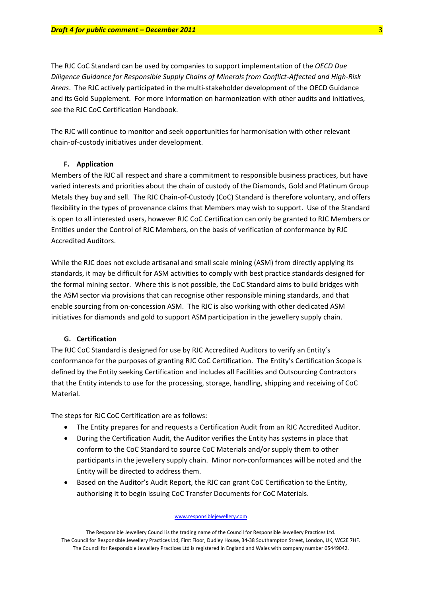The RJC CoC Standard can be used by companies to support implementation of the *OECD Due Diligence Guidance for Responsible Supply Chains of Minerals from Conflict‐Affected and High‐Risk Areas*. The RJC actively participated in the multi‐stakeholder development of the OECD Guidance and its Gold Supplement. For more information on harmonization with other audits and initiatives, see the RJC CoC Certification Handbook.

The RJC will continue to monitor and seek opportunities for harmonisation with other relevant chain‐of‐custody initiatives under development.

#### **F. Application**

Members of the RJC all respect and share a commitment to responsible business practices, but have varied interests and priorities about the chain of custody of the Diamonds, Gold and Platinum Group Metals they buy and sell. The RJC Chain‐of‐Custody (CoC) Standard is therefore voluntary, and offers flexibility in the types of provenance claims that Members may wish to support. Use of the Standard is open to all interested users, however RJC CoC Certification can only be granted to RJC Members or Entities under the Control of RJC Members, on the basis of verification of conformance by RJC Accredited Auditors.

While the RJC does not exclude artisanal and small scale mining (ASM) from directly applying its standards, it may be difficult for ASM activities to comply with best practice standards designed for the formal mining sector. Where this is not possible, the CoC Standard aims to build bridges with the ASM sector via provisions that can recognise other responsible mining standards, and that enable sourcing from on‐concession ASM. The RJC is also working with other dedicated ASM initiatives for diamonds and gold to support ASM participation in the jewellery supply chain.

### **G. Certification**

The RJC CoC Standard is designed for use by RJC Accredited Auditors to verify an Entity's conformance for the purposes of granting RJC CoC Certification. The Entity's Certification Scope is defined by the Entity seeking Certification and includes all Facilities and Outsourcing Contractors that the Entity intends to use for the processing, storage, handling, shipping and receiving of CoC Material.

The steps for RJC CoC Certification are as follows:

- The Entity prepares for and requests a Certification Audit from an RJC Accredited Auditor.
- During the Certification Audit, the Auditor verifies the Entity has systems in place that conform to the CoC Standard to source CoC Materials and/or supply them to other participants in the jewellery supply chain. Minor non-conformances will be noted and the Entity will be directed to address them.
- Based on the Auditor's Audit Report, the RJC can grant CoC Certification to the Entity, authorising it to begin issuing CoC Transfer Documents for CoC Materials.

The Responsible Jewellery Council is the trading name of the Council for Responsible Jewellery Practices Ltd. The Council for Responsible Jewellery Practices Ltd, First Floor, Dudley House, 34‐38 Southampton Street, London, UK, WC2E 7HF. The Council for Responsible Jewellery Practices Ltd is registered in England and Wales with company number 05449042.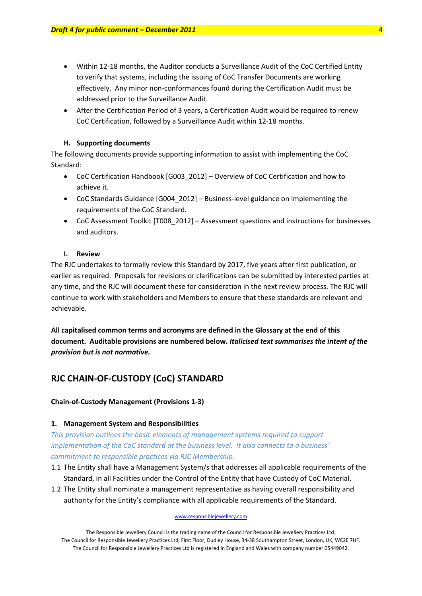- Within 12‐18 months, the Auditor conducts a Surveillance Audit of the CoC Certified Entity to verify that systems, including the issuing of CoC Transfer Documents are working effectively. Any minor non‐conformances found during the Certification Audit must be addressed prior to the Surveillance Audit.
- After the Certification Period of 3 years, a Certification Audit would be required to renew CoC Certification, followed by a Surveillance Audit within 12‐18 months.

### **H. Supporting documents**

The following documents provide supporting information to assist with implementing the CoC Standard:

- CoC Certification Handbook [G003\_2012] Overview of CoC Certification and how to achieve it.
- CoC Standards Guidance [G004 2012] Business-level guidance on implementing the requirements of the CoC Standard.
- CoC Assessment Toolkit [T008 2012] Assessment questions and instructions for businesses and auditors.

### **I. Review**

The RJC undertakes to formally review this Standard by 2017, five years after first publication, or earlier as required. Proposals for revisions or clarifications can be submitted by interested parties at any time, and the RJC will document these for consideration in the next review process. The RJC will continue to work with stakeholders and Members to ensure that these standards are relevant and achievable.

**All capitalised common terms and acronyms are defined in the Glossary at the end of this document. Auditable provisions are numbered below.** *Italicised text summarises the intent of the provision but is not normative.*

# **RJC CHAIN‐OF‐CUSTODY (CoC) STANDARD**

### **Chain‐of‐Custody Management (Provisions 1‐3)**

### **1. Management System and Responsibilities**

*This provision outlines the basic elements of management systems required to support implementation of the CoC standard at the business level. It also connects to a business' commitment to responsible practices via RJC Membership.*

- 1.1 The Entity shall have a Management System/s that addresses all applicable requirements of the Standard, in all Facilities under the Control of the Entity that have Custody of CoC Material.
- 1.2 The Entity shall nominate a management representative as having overall responsibility and authority for the Entity's compliance with all applicable requirements of the Standard.

### www.responsiblejewellery.com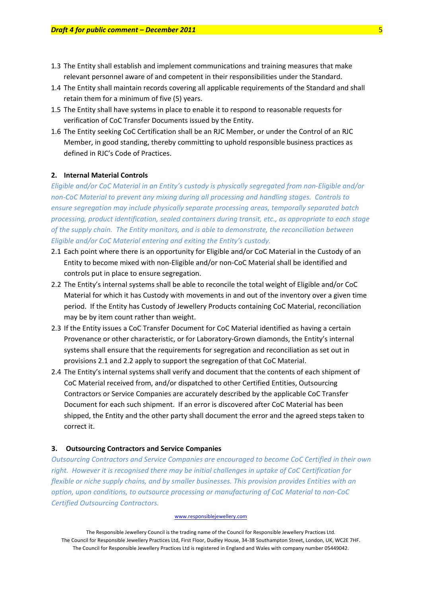- 1.3 The Entity shall establish and implement communications and training measures that make relevant personnel aware of and competent in their responsibilities under the Standard.
- 1.4 The Entity shall maintain records covering all applicable requirements of the Standard and shall retain them for a minimum of five (5) years.
- 1.5 The Entity shall have systems in place to enable it to respond to reasonable requests for verification of CoC Transfer Documents issued by the Entity.
- 1.6 The Entity seeking CoC Certification shall be an RJC Member, or under the Control of an RJC Member, in good standing, thereby committing to uphold responsible business practices as defined in RJC's Code of Practices.

### **2. Internal Material Controls**

*Eligible and/or CoC Material in an Entity's custody is physically segregated from non‐Eligible and/or non‐CoC Material to prevent any mixing during all processing and handling stages. Controls to ensure segregation may include physically separate processing areas, temporally separated batch processing, product identification, sealed containers during transit, etc., as appropriate to each stage of the supply chain. The Entity monitors, and is able to demonstrate, the reconciliation between Eligible and/or CoC Material entering and exiting the Entity's custody.*

- 2.1 Each point where there is an opportunity for Eligible and/or CoC Material in the Custody of an Entity to become mixed with non‐Eligible and/or non‐CoC Material shall be identified and controls put in place to ensure segregation.
- 2.2 The Entity's internal systems shall be able to reconcile the total weight of Eligible and/or CoC Material for which it has Custody with movements in and out of the inventory over a given time period. If the Entity has Custody of Jewellery Products containing CoC Material, reconciliation may be by item count rather than weight.
- 2.3 If the Entity issues a CoC Transfer Document for CoC Material identified as having a certain Provenance or other characteristic, or for Laboratory‐Grown diamonds, the Entity's internal systems shall ensure that the requirements for segregation and reconciliation as set out in provisions 2.1 and 2.2 apply to support the segregation of that CoC Material.
- 2.4 The Entity's internal systems shall verify and document that the contents of each shipment of CoC Material received from, and/or dispatched to other Certified Entities, Outsourcing Contractors or Service Companies are accurately described by the applicable CoC Transfer Document for each such shipment. If an error is discovered after CoC Material has been shipped, the Entity and the other party shall document the error and the agreed steps taken to correct it.

### **3. Outsourcing Contractors and Service Companies**

*Outsourcing Contractors and Service Companies are encouraged to become CoC Certified in their own right. However it is recognised there may be initial challenges in uptake of CoC Certification for flexible or niche supply chains, and by smaller businesses. This provision provides Entities with an option, upon conditions, to outsource processing or manufacturing of CoC Material to non‐CoC Certified Outsourcing Contractors.* 

#### www.responsiblejewellery.com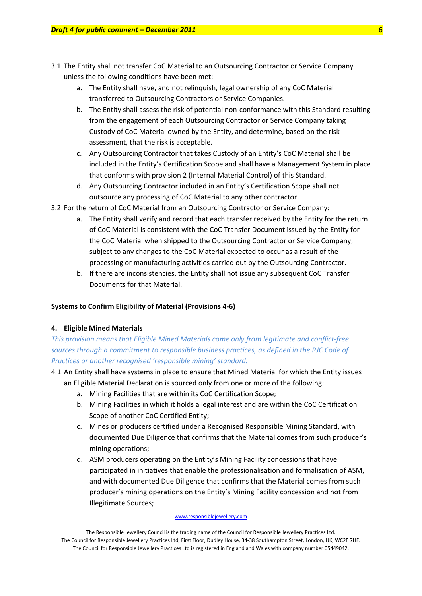- 3.1 The Entity shall not transfer CoC Material to an Outsourcing Contractor or Service Company unless the following conditions have been met:
	- a. The Entity shall have, and not relinquish, legal ownership of any CoC Material transferred to Outsourcing Contractors or Service Companies.
	- b. The Entity shall assess the risk of potential non-conformance with this Standard resulting from the engagement of each Outsourcing Contractor or Service Company taking Custody of CoC Material owned by the Entity, and determine, based on the risk assessment, that the risk is acceptable.
	- c. Any Outsourcing Contractor that takes Custody of an Entity's CoC Material shall be included in the Entity's Certification Scope and shall have a Management System in place that conforms with provision 2 (Internal Material Control) of this Standard.
	- d. Any Outsourcing Contractor included in an Entity's Certification Scope shall not outsource any processing of CoC Material to any other contractor.
- 3.2 For the return of CoC Material from an Outsourcing Contractor or Service Company:
	- a. The Entity shall verify and record that each transfer received by the Entity for the return of CoC Material is consistent with the CoC Transfer Document issued by the Entity for the CoC Material when shipped to the Outsourcing Contractor or Service Company, subject to any changes to the CoC Material expected to occur as a result of the processing or manufacturing activities carried out by the Outsourcing Contractor.
	- b. If there are inconsistencies, the Entity shall not issue any subsequent CoC Transfer Documents for that Material.

### **Systems to Confirm Eligibility of Material (Provisions 4‐6)**

### **4. Eligible Mined Materials**

*This provision means that Eligible Mined Materials come only from legitimate and conflict‐free sources through a commitment to responsible business practices, as defined in the RJC Code of Practices or another recognised 'responsible mining' standard.*

- 4.1 An Entity shall have systems in place to ensure that Mined Material for which the Entity issues an Eligible Material Declaration is sourced only from one or more of the following:
	- a. Mining Facilities that are within its CoC Certification Scope;
	- b. Mining Facilities in which it holds a legal interest and are within the CoC Certification Scope of another CoC Certified Entity;
	- c. Mines or producers certified under a Recognised Responsible Mining Standard, with documented Due Diligence that confirms that the Material comes from such producer's mining operations;
	- d. ASM producers operating on the Entity's Mining Facility concessions that have participated in initiatives that enable the professionalisation and formalisation of ASM, and with documented Due Diligence that confirms that the Material comes from such producer's mining operations on the Entity's Mining Facility concession and not from Illegitimate Sources;

#### www.responsiblejewellery.com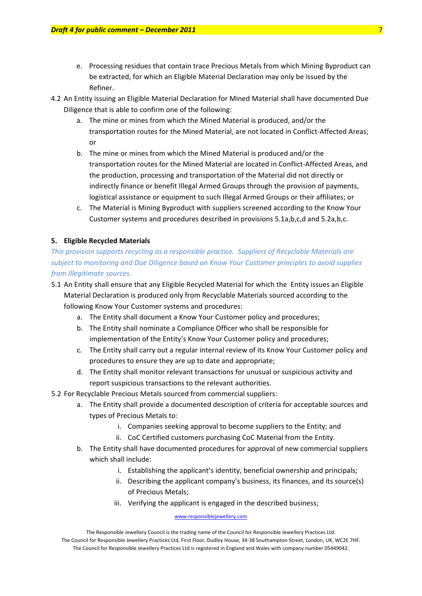- e. Processing residues that contain trace Precious Metals from which Mining Byproduct can be extracted, for which an Eligible Material Declaration may only be issued by the Refiner.
- 4.2 An Entity issuing an Eligible Material Declaration for Mined Material shall have documented Due Diligence that is able to confirm one of the following:
	- a. The mine or mines from which the Mined Material is produced, and/or the transportation routes for the Mined Material, are not located in Conflict-Affected Areas; or
	- b. The mine or mines from which the Mined Material is produced and/or the transportation routes for the Mined Material are located in Conflict‐Affected Areas, and the production, processing and transportation of the Material did not directly or indirectly finance or benefit Illegal Armed Groups through the provision of payments, logistical assistance or equipment to such Illegal Armed Groups or their affiliates; or
	- c. The Material is Mining Byproduct with suppliers screened according to the Know Your Customer systems and procedures described in provisions 5.1a,b,c,d and 5.2a,b,c.

### **5. Eligible Recycled Materials**

*This provision supports recycling as a responsible practice. Suppliers of Recyclable Materials are subject to monitoring and Due Diligence based on Know Your Customer principles to avoid supplies from Illegitimate sources.* 

- 5.1 An Entity shall ensure that any Eligible Recycled Material for which the Entity issues an Eligible Material Declaration is produced only from Recyclable Materials sourced according to the following Know Your Customer systems and procedures:
	- a. The Entity shall document a Know Your Customer policy and procedures;
	- b. The Entity shall nominate a Compliance Officer who shall be responsible for implementation of the Entity's Know Your Customer policy and procedures;
	- c. The Entity shall carry out a regular internal review of its Know Your Customer policy and procedures to ensure they are up to date and appropriate;
	- d. The Entity shall monitor relevant transactions for unusual or suspicious activity and report suspicious transactions to the relevant authorities.
- 5.2 For Recyclable Precious Metals sourced from commercial suppliers:
	- a. The Entity shall provide a documented description of criteria for acceptable sources and types of Precious Metals to:
		- i. Companies seeking approval to become suppliers to the Entity; and
		- ii. CoC Certified customers purchasing CoC Material from the Entity.
	- b. The Entity shall have documented procedures for approval of new commercial suppliers which shall include:
		- i. Establishing the applicant's identity, beneficial ownership and principals;
		- ii. Describing the applicant company's business, its finances, and its source(s) of Precious Metals;
		- iii. Verifying the applicant is engaged in the described business;

### www.responsiblejewellery.com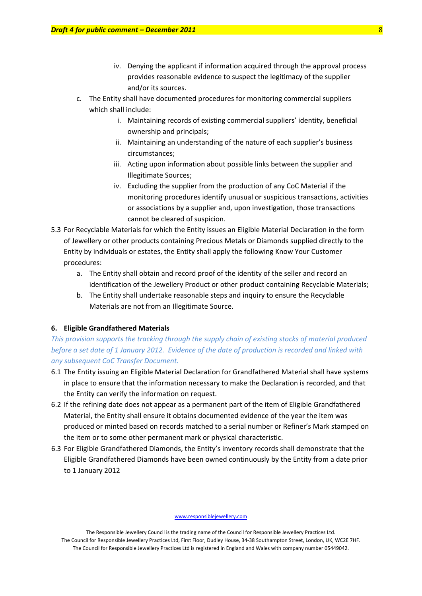- iv. Denying the applicant if information acquired through the approval process provides reasonable evidence to suspect the legitimacy of the supplier and/or its sources.
- c. The Entity shall have documented procedures for monitoring commercial suppliers which shall include:
	- i. Maintaining records of existing commercial suppliers' identity, beneficial ownership and principals;
	- ii. Maintaining an understanding of the nature of each supplier's business circumstances;
	- iii. Acting upon information about possible links between the supplier and Illegitimate Sources;
	- iv. Excluding the supplier from the production of any CoC Material if the monitoring procedures identify unusual or suspicious transactions, activities or associations by a supplier and, upon investigation, those transactions cannot be cleared of suspicion.
- 5.3 For Recyclable Materials for which the Entity issues an Eligible Material Declaration in the form of Jewellery or other products containing Precious Metals or Diamonds supplied directly to the Entity by individuals or estates, the Entity shall apply the following Know Your Customer procedures:
	- a. The Entity shall obtain and record proof of the identity of the seller and record an identification of the Jewellery Product or other product containing Recyclable Materials;
	- b. The Entity shall undertake reasonable steps and inquiry to ensure the Recyclable Materials are not from an Illegitimate Source.

### **6. Eligible Grandfathered Materials**

*This provision supports the tracking through the supply chain of existing stocks of material produced* before a set date of 1 January 2012. Evidence of the date of production is recorded and linked with *any subsequent CoC Transfer Document.*

- 6.1 The Entity issuing an Eligible Material Declaration for Grandfathered Material shall have systems in place to ensure that the information necessary to make the Declaration is recorded, and that the Entity can verify the information on request.
- 6.2 If the refining date does not appear as a permanent part of the item of Eligible Grandfathered Material, the Entity shall ensure it obtains documented evidence of the year the item was produced or minted based on records matched to a serial number or Refiner's Mark stamped on the item or to some other permanent mark or physical characteristic.
- 6.3 For Eligible Grandfathered Diamonds, the Entity's inventory records shall demonstrate that the Eligible Grandfathered Diamonds have been owned continuously by the Entity from a date prior to 1 January 2012

The Responsible Jewellery Council is the trading name of the Council for Responsible Jewellery Practices Ltd. The Council for Responsible Jewellery Practices Ltd, First Floor, Dudley House, 34‐38 Southampton Street, London, UK, WC2E 7HF. The Council for Responsible Jewellery Practices Ltd is registered in England and Wales with company number 05449042.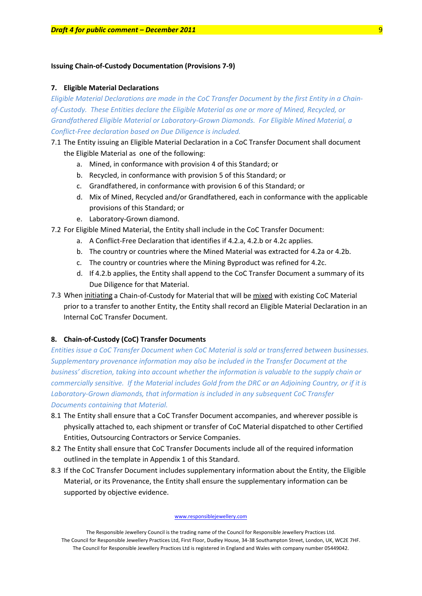### **Issuing Chain‐of‐Custody Documentation (Provisions 7‐9)**

#### **7. Eligible Material Declarations**

Eligible Material Declarations are made in the CoC Transfer Document by the first Entity in a Chain*of‐Custody. These Entities declare the Eligible Material as one or more of Mined, Recycled, or Grandfathered Eligible Material or Laboratory‐Grown Diamonds. For Eligible Mined Material, a Conflict‐Free declaration based on Due Diligence is included.* 

- 7.1 The Entity issuing an Eligible Material Declaration in a CoC Transfer Document shall document the Eligible Material as one of the following:
	- a. Mined, in conformance with provision 4 of this Standard; or
	- b. Recycled, in conformance with provision 5 of this Standard; or
	- c. Grandfathered, in conformance with provision 6 of this Standard; or
	- d. Mix of Mined, Recycled and/or Grandfathered, each in conformance with the applicable provisions of this Standard; or
	- e. Laboratory‐Grown diamond.
- 7.2 For Eligible Mined Material, the Entity shall include in the CoC Transfer Document:
	- a. A Conflict‐Free Declaration that identifies if 4.2.a, 4.2.b or 4.2c applies.
	- b. The country or countries where the Mined Material was extracted for 4.2a or 4.2b.
	- c. The country or countries where the Mining Byproduct was refined for 4.2c.
	- d. If 4.2.b applies, the Entity shall append to the CoC Transfer Document a summary of its Due Diligence for that Material.
- 7.3 When initiating a Chain-of-Custody for Material that will be mixed with existing CoC Material prior to a transfer to another Entity, the Entity shall record an Eligible Material Declaration in an Internal CoC Transfer Document.

### **8. Chain‐of‐Custody (CoC) Transfer Documents**

*Entities issue a CoC Transfer Document when CoC Material is sold or transferred between businesses. Supplementary provenance information may also be included in the Transfer Document at the business' discretion, taking into account whether the information is valuable to the supply chain or* commercially sensitive. If the Material includes Gold from the DRC or an Adjoining Country, or if it is *Laboratory‐Grown diamonds, that information is included in any subsequent CoC Transfer Documents containing that Material.* 

- 8.1 The Entity shall ensure that a CoC Transfer Document accompanies, and wherever possible is physically attached to, each shipment or transfer of CoC Material dispatched to other Certified Entities, Outsourcing Contractors or Service Companies.
- 8.2 The Entity shall ensure that CoC Transfer Documents include all of the required information outlined in the template in Appendix 1 of this Standard.
- 8.3 If the CoC Transfer Document includes supplementary information about the Entity, the Eligible Material, or its Provenance, the Entity shall ensure the supplementary information can be supported by objective evidence.

The Responsible Jewellery Council is the trading name of the Council for Responsible Jewellery Practices Ltd. The Council for Responsible Jewellery Practices Ltd, First Floor, Dudley House, 34‐38 Southampton Street, London, UK, WC2E 7HF. The Council for Responsible Jewellery Practices Ltd is registered in England and Wales with company number 05449042.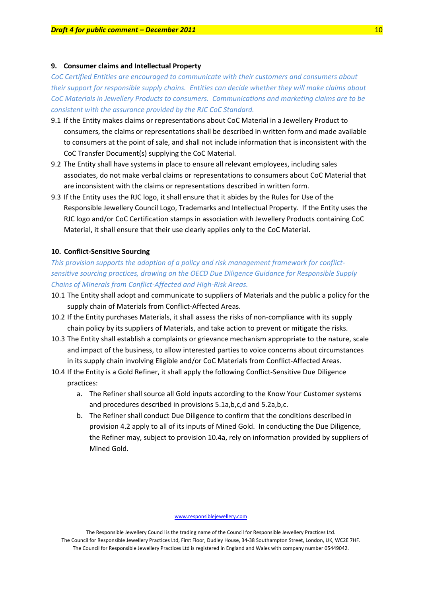### **9. Consumer claims and Intellectual Property**

*CoC Certified Entities are encouraged to communicate with their customers and consumers about their support for responsible supply chains. Entities can decide whether they will make claims about CoC Materials in Jewellery Products to consumers. Communications and marketing claims are to be consistent with the assurance provided by the RJC CoC Standard.*

- 9.1 If the Entity makes claims or representations about CoC Material in a Jewellery Product to consumers, the claims or representations shall be described in written form and made available to consumers at the point of sale, and shall not include information that is inconsistent with the CoC Transfer Document(s) supplying the CoC Material.
- 9.2 The Entity shall have systems in place to ensure all relevant employees, including sales associates, do not make verbal claims or representations to consumers about CoC Material that are inconsistent with the claims or representations described in written form.
- 9.3 If the Entity uses the RJC logo, it shall ensure that it abides by the Rules for Use of the Responsible Jewellery Council Logo, Trademarks and Intellectual Property. If the Entity uses the RJC logo and/or CoC Certification stamps in association with Jewellery Products containing CoC Material, it shall ensure that their use clearly applies only to the CoC Material.

### **10. Conflict‐Sensitive Sourcing**

*This provision supports the adoption of a policy and risk management framework for conflict‐ sensitive sourcing practices, drawing on the OECD Due Diligence Guidance for Responsible Supply Chains of Minerals from Conflict‐Affected and High‐Risk Areas.* 

- 10.1 The Entity shall adopt and communicate to suppliers of Materials and the public a policy for the supply chain of Materials from Conflict-Affected Areas.
- 10.2 If the Entity purchases Materials, it shall assess the risks of non‐compliance with its supply chain policy by its suppliers of Materials, and take action to prevent or mitigate the risks.
- 10.3 The Entity shall establish a complaints or grievance mechanism appropriate to the nature, scale and impact of the business, to allow interested parties to voice concerns about circumstances in its supply chain involving Eligible and/or CoC Materials from Conflict-Affected Areas.
- 10.4 If the Entity is a Gold Refiner, it shall apply the following Conflict‐Sensitive Due Diligence practices:
	- a. The Refiner shall source all Gold inputs according to the Know Your Customer systems and procedures described in provisions 5.1a,b,c,d and 5.2a,b,c.
	- b. The Refiner shall conduct Due Diligence to confirm that the conditions described in provision 4.2 apply to all of its inputs of Mined Gold. In conducting the Due Diligence, the Refiner may, subject to provision 10.4a, rely on information provided by suppliers of Mined Gold.

www.responsiblejewellery.com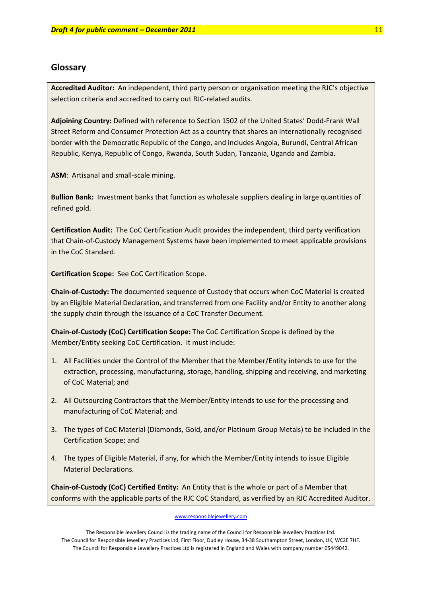# **Glossary**

**Accredited Auditor:** An independent, third party person or organisation meeting the RJC's objective selection criteria and accredited to carry out RJC-related audits.

**Adjoining Country:** Defined with reference to Section 1502 of the United States' Dodd‐Frank Wall Street Reform and Consumer Protection Act as a country that shares an internationally recognised border with the Democratic Republic of the Congo, and includes Angola, Burundi, Central African Republic, Kenya, Republic of Congo, Rwanda, South Sudan, Tanzania, Uganda and Zambia.

**ASM**: Artisanal and small‐scale mining.

**Bullion Bank:** Investment banks that function as wholesale suppliers dealing in large quantities of refined gold.

**Certification Audit:** The CoC Certification Audit provides the independent, third party verification that Chain‐of‐Custody Management Systems have been implemented to meet applicable provisions in the CoC Standard.

**Certification Scope:** See CoC Certification Scope.

**Chain‐of‐Custody:** The documented sequence of Custody that occurs when CoC Material is created by an Eligible Material Declaration, and transferred from one Facility and/or Entity to another along the supply chain through the issuance of a CoC Transfer Document.

**Chain‐of‐Custody (CoC) Certification Scope:** The CoC Certification Scope is defined by the Member/Entity seeking CoC Certification. It must include:

- 1. All Facilities under the Control of the Member that the Member/Entity intends to use for the extraction, processing, manufacturing, storage, handling, shipping and receiving, and marketing of CoC Material; and
- 2. All Outsourcing Contractors that the Member/Entity intends to use for the processing and manufacturing of CoC Material; and
- 3. The types of CoC Material (Diamonds, Gold, and/or Platinum Group Metals) to be included in the Certification Scope; and
- 4. The types of Eligible Material, if any, for which the Member/Entity intends to issue Eligible Material Declarations.

**Chain‐of‐Custody (CoC) Certified Entity:** An Entity that is the whole or part of a Member that conforms with the applicable parts of the RJC CoC Standard, as verified by an RJC Accredited Auditor.

#### www.responsiblejewellery.com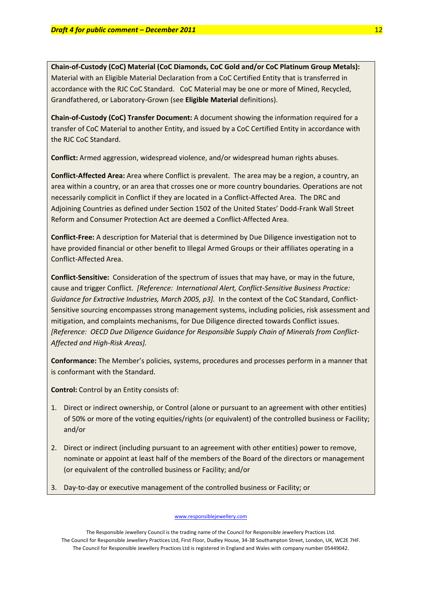**Chain‐of‐Custody (CoC) Material (CoC Diamonds, CoC Gold and/or CoC Platinum Group Metals):**  Material with an Eligible Material Declaration from a CoC Certified Entity that is transferred in accordance with the RJC CoC Standard. CoC Material may be one or more of Mined, Recycled, Grandfathered, or Laboratory‐Grown (see **Eligible Material** definitions).

**Chain‐of‐Custody (CoC) Transfer Document:** A document showing the information required for a transfer of CoC Material to another Entity, and issued by a CoC Certified Entity in accordance with the RJC CoC Standard.

**Conflict:** Armed aggression, widespread violence, and/or widespread human rights abuses.

**Conflict‐Affected Area:** Area where Conflict is prevalent. The area may be a region, a country, an area within a country, or an area that crosses one or more country boundaries. Operations are not necessarily complicit in Conflict if they are located in a Conflict-Affected Area. The DRC and Adjoining Countries as defined under Section 1502 of the United States' Dodd‐Frank Wall Street Reform and Consumer Protection Act are deemed a Conflict‐Affected Area.

**Conflict‐Free:** A description for Material that is determined by Due Diligence investigation not to have provided financial or other benefit to Illegal Armed Groups or their affiliates operating in a Conflict‐Affected Area.

**Conflict‐Sensitive:** Consideration of the spectrum of issues that may have, or may in the future, cause and trigger Conflict. *[Reference: International Alert, Conflict‐Sensitive Business Practice: Guidance for Extractive Industries, March 2005, p3].* In the context of the CoC Standard, Conflict‐ Sensitive sourcing encompasses strong management systems, including policies, risk assessment and mitigation, and complaints mechanisms, for Due Diligence directed towards Conflict issues. *[Reference: OECD Due Diligence Guidance for Responsible Supply Chain of Minerals from Conflict‐ Affected and High‐Risk Areas].*

**Conformance:** The Member's policies, systems, procedures and processes perform in a manner that is conformant with the Standard.

**Control:** Control by an Entity consists of:

- 1. Direct or indirect ownership, or Control (alone or pursuant to an agreement with other entities) of 50% or more of the voting equities/rights (or equivalent) of the controlled business or Facility; and/or
- 2. Direct or indirect (including pursuant to an agreement with other entities) power to remove, nominate or appoint at least half of the members of the Board of the directors or management (or equivalent of the controlled business or Facility; and/or
- 3. Day‐to‐day or executive management of the controlled business or Facility; or

The Responsible Jewellery Council is the trading name of the Council for Responsible Jewellery Practices Ltd. The Council for Responsible Jewellery Practices Ltd, First Floor, Dudley House, 34‐38 Southampton Street, London, UK, WC2E 7HF. The Council for Responsible Jewellery Practices Ltd is registered in England and Wales with company number 05449042.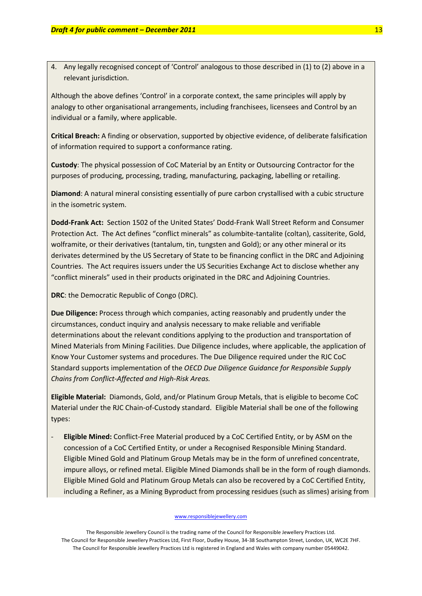4. Any legally recognised concept of 'Control' analogous to those described in (1) to (2) above in a relevant jurisdiction.

Although the above defines 'Control' in a corporate context, the same principles will apply by analogy to other organisational arrangements, including franchisees, licensees and Control by an individual or a family, where applicable.

**Critical Breach:** A finding or observation, supported by objective evidence, of deliberate falsification of information required to support a conformance rating.

**Custody**: The physical possession of CoC Material by an Entity or Outsourcing Contractor for the purposes of producing, processing, trading, manufacturing, packaging, labelling or retailing.

**Diamond**: A natural mineral consisting essentially of pure carbon crystallised with a cubic structure in the isometric system.

**Dodd‐Frank Act:** Section 1502 of the United States' Dodd‐Frank Wall Street Reform and Consumer Protection Act. The Act defines "conflict minerals" as columbite‐tantalite (coltan), cassiterite, Gold, wolframite, or their derivatives (tantalum, tin, tungsten and Gold); or any other mineral or its derivates determined by the US Secretary of State to be financing conflict in the DRC and Adjoining Countries. The Act requires issuers under the US Securities Exchange Act to disclose whether any "conflict minerals" used in their products originated in the DRC and Adjoining Countries.

**DRC**: the Democratic Republic of Congo (DRC).

**Due Diligence:** Process through which companies, acting reasonably and prudently under the circumstances, conduct inquiry and analysis necessary to make reliable and verifiable determinations about the relevant conditions applying to the production and transportation of Mined Materials from Mining Facilities. Due Diligence includes, where applicable, the application of Know Your Customer systems and procedures. The Due Diligence required under the RJC CoC Standard supports implementation of the *OECD Due Diligence Guidance for Responsible Supply Chains from Conflict‐Affected and High‐Risk Areas.*

**Eligible Material:** Diamonds, Gold, and/or Platinum Group Metals, that is eligible to become CoC Material under the RJC Chain‐of‐Custody standard. Eligible Material shall be one of the following types:

‐ **Eligible Mined:** Conflict‐Free Material produced by a CoC Certified Entity, or by ASM on the concession of a CoC Certified Entity, or under a Recognised Responsible Mining Standard. Eligible Mined Gold and Platinum Group Metals may be in the form of unrefined concentrate, impure alloys, or refined metal. Eligible Mined Diamonds shall be in the form of rough diamonds. Eligible Mined Gold and Platinum Group Metals can also be recovered by a CoC Certified Entity, including a Refiner, as a Mining Byproduct from processing residues (such as slimes) arising from

#### www.responsiblejewellery.com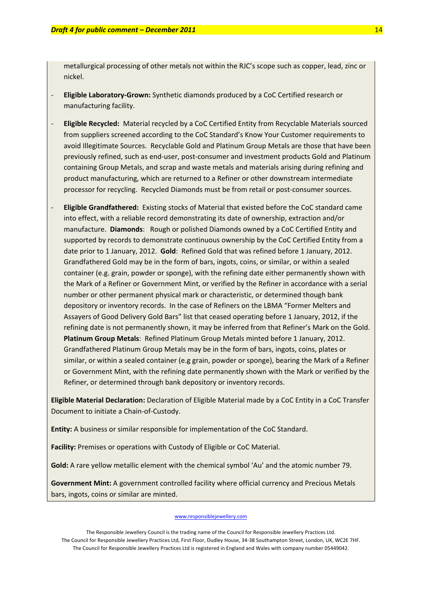metallurgical processing of other metals not within the RJC's scope such as copper, lead, zinc or nickel.

- ‐ **Eligible Laboratory‐Grown:** Synthetic diamonds produced by a CoC Certified research or manufacturing facility.
- ‐ **Eligible Recycled:** Material recycled by a CoC Certified Entity from Recyclable Materials sourced from suppliers screened according to the CoC Standard's Know Your Customer requirements to avoid Illegitimate Sources. Recyclable Gold and Platinum Group Metals are those that have been previously refined, such as end‐user, post‐consumer and investment products Gold and Platinum containing Group Metals, and scrap and waste metals and materials arising during refining and product manufacturing, which are returned to a Refiner or other downstream intermediate processor for recycling. Recycled Diamonds must be from retail or post‐consumer sources.
- ‐ **Eligible Grandfathered:** Existing stocks of Material that existed before the CoC standard came into effect, with a reliable record demonstrating its date of ownership, extraction and/or manufacture. **Diamonds**: Rough or polished Diamonds owned by a CoC Certified Entity and supported by records to demonstrate continuous ownership by the CoC Certified Entity from a date prior to 1 January, 2012. **Gold**: Refined Gold that was refined before 1 January, 2012. Grandfathered Gold may be in the form of bars, ingots, coins, or similar, or within a sealed container (e.g. grain, powder or sponge), with the refining date either permanently shown with the Mark of a Refiner or Government Mint, or verified by the Refiner in accordance with a serial number or other permanent physical mark or characteristic, or determined though bank depository or inventory records. In the case of Refiners on the LBMA "Former Melters and Assayers of Good Delivery Gold Bars" list that ceased operating before 1 January, 2012, if the refining date is not permanently shown, it may be inferred from that Refiner's Mark on the Gold. **Platinum Group Metals**: Refined Platinum Group Metals minted before 1 January, 2012. Grandfathered Platinum Group Metals may be in the form of bars, ingots, coins, plates or similar, or within a sealed container (e.g grain, powder or sponge), bearing the Mark of a Refiner or Government Mint, with the refining date permanently shown with the Mark or verified by the Refiner, or determined through bank depository or inventory records.

**Eligible Material Declaration:** Declaration of Eligible Material made by a CoC Entity in a CoC Transfer Document to initiate a Chain‐of‐Custody.

**Entity:** A business or similar responsible for implementation of the CoC Standard.

**Facility:** Premises or operations with Custody of Eligible or CoC Material.

**Gold:** A rare yellow metallic element with the chemical symbol 'Au' and the atomic number 79.

**Government Mint:** A government controlled facility where official currency and Precious Metals bars, ingots, coins or similar are minted.

The Responsible Jewellery Council is the trading name of the Council for Responsible Jewellery Practices Ltd. The Council for Responsible Jewellery Practices Ltd, First Floor, Dudley House, 34‐38 Southampton Street, London, UK, WC2E 7HF. The Council for Responsible Jewellery Practices Ltd is registered in England and Wales with company number 05449042.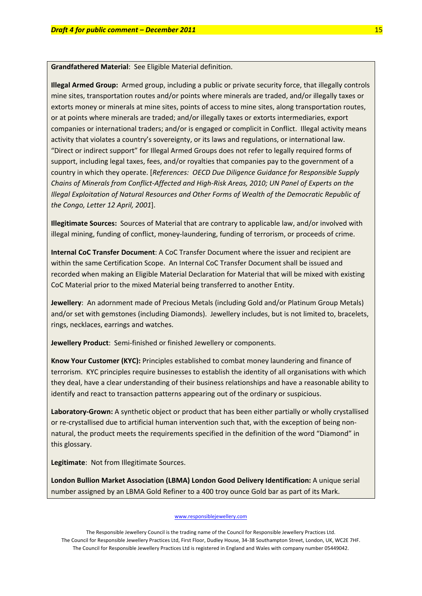**Grandfathered Material**: See Eligible Material definition.

**Illegal Armed Group:** Armed group, including a public or private security force, that illegally controls mine sites, transportation routes and/or points where minerals are traded, and/or illegally taxes or extorts money or minerals at mine sites, points of access to mine sites, along transportation routes, or at points where minerals are traded; and/or illegally taxes or extorts intermediaries, export companies or international traders; and/or is engaged or complicit in Conflict. Illegal activity means activity that violates a country's sovereignty, or its laws and regulations, or international law. "Direct or indirect support" for Illegal Armed Groups does not refer to legally required forms of support, including legal taxes, fees, and/or royalties that companies pay to the government of a country in which they operate. [*References: OECD Due Diligence Guidance for Responsible Supply* Chains of Minerals from Conflict-Affected and High-Risk Areas, 2010; UN Panel of Experts on the *Illegal Exploitation of Natural Resources and Other Forms of Wealth of the Democratic Republic of the Congo, Letter 12 April, 2001*].

**Illegitimate Sources:** Sources of Material that are contrary to applicable law, and/or involved with illegal mining, funding of conflict, money-laundering, funding of terrorism, or proceeds of crime.

**Internal CoC Transfer Document**: A CoC Transfer Document where the issuer and recipient are within the same Certification Scope. An Internal CoC Transfer Document shall be issued and recorded when making an Eligible Material Declaration for Material that will be mixed with existing CoC Material prior to the mixed Material being transferred to another Entity.

**Jewellery**: An adornment made of Precious Metals (including Gold and/or Platinum Group Metals) and/or set with gemstones (including Diamonds). Jewellery includes, but is not limited to, bracelets, rings, necklaces, earrings and watches.

**Jewellery Product**: Semi‐finished or finished Jewellery or components.

**Know Your Customer (KYC):** Principles established to combat money laundering and finance of terrorism. KYC principles require businesses to establish the identity of all organisations with which they deal, have a clear understanding of their business relationships and have a reasonable ability to identify and react to transaction patterns appearing out of the ordinary or suspicious.

**Laboratory‐Grown:** A synthetic object or product that has been either partially or wholly crystallised or re-crystallised due to artificial human intervention such that, with the exception of being nonnatural, the product meets the requirements specified in the definition of the word "Diamond" in this glossary.

**Legitimate**: Not from Illegitimate Sources.

**London Bullion Market Association (LBMA) London Good Delivery Identification:** A unique serial number assigned by an LBMA Gold Refiner to a 400 troy ounce Gold bar as part of its Mark.

### www.responsiblejewellery.com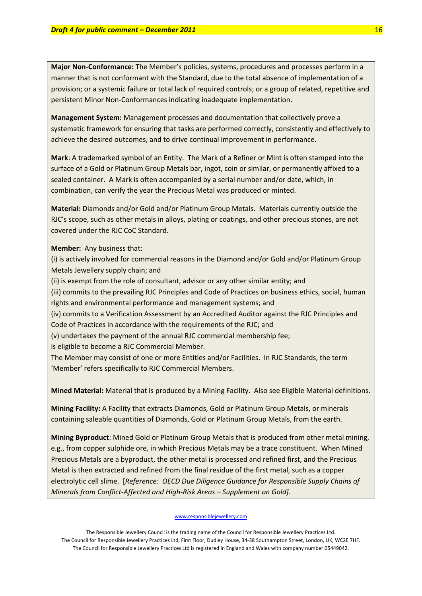**Major Non‐Conformance:** The Member's policies, systems, procedures and processes perform in a manner that is not conformant with the Standard, due to the total absence of implementation of a provision; or a systemic failure or total lack of required controls; or a group of related, repetitive and persistent Minor Non‐Conformances indicating inadequate implementation.

**Management System:** Management processes and documentation that collectively prove a systematic framework for ensuring that tasks are performed correctly, consistently and effectively to achieve the desired outcomes, and to drive continual improvement in performance.

**Mark**: A trademarked symbol of an Entity. The Mark of a Refiner or Mint is often stamped into the surface of a Gold or Platinum Group Metals bar, ingot, coin or similar, or permanently affixed to a sealed container. A Mark is often accompanied by a serial number and/or date, which, in combination, can verify the year the Precious Metal was produced or minted.

**Material:** Diamonds and/or Gold and/or Platinum Group Metals. Materials currently outside the RJC's scope, such as other metals in alloys, plating or coatings, and other precious stones, are not covered under the RJC CoC Standard.

**Member:** Any business that:

(i) is actively involved for commercial reasons in the Diamond and/or Gold and/or Platinum Group Metals Jewellery supply chain; and

(ii) is exempt from the role of consultant, advisor or any other similar entity; and

(iii) commits to the prevailing RJC Principles and Code of Practices on business ethics, social, human rights and environmental performance and management systems; and

(iv) commits to a Verification Assessment by an Accredited Auditor against the RJC Principles and Code of Practices in accordance with the requirements of the RJC; and

(v) undertakes the payment of the annual RJC commercial membership fee;

is eligible to become a RJC Commercial Member.

The Member may consist of one or more Entities and/or Facilities. In RJC Standards, the term 'Member' refers specifically to RJC Commercial Members.

**Mined Material:** Material that is produced by a Mining Facility. Also see Eligible Material definitions.

**Mining Facility:** A Facility that extracts Diamonds, Gold or Platinum Group Metals, or minerals containing saleable quantities of Diamonds, Gold or Platinum Group Metals, from the earth.

**Mining Byproduct**: Mined Gold or Platinum Group Metals that is produced from other metal mining, e.g., from copper sulphide ore, in which Precious Metals may be a trace constituent. When Mined Precious Metals are a byproduct, the other metal is processed and refined first, and the Precious Metal is then extracted and refined from the final residue of the first metal, such as a copper electrolytic cell slime. [*Reference: OECD Due Diligence Guidance for Responsible Supply Chains of Minerals from Conflict‐Affected and High‐Risk Areas – Supplement on Gold].* 

#### www.responsiblejewellery.com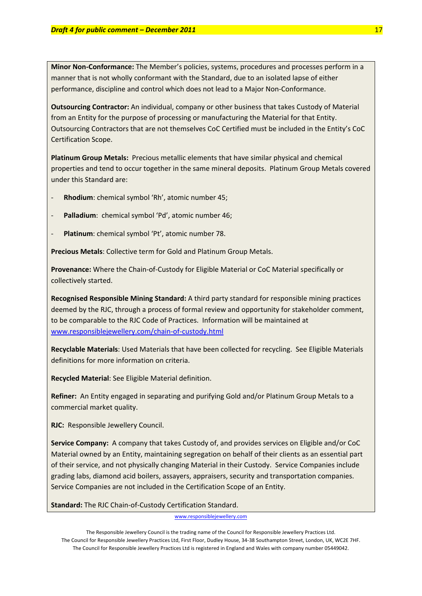**Minor Non‐Conformance:** The Member's policies, systems, procedures and processes perform in a manner that is not wholly conformant with the Standard, due to an isolated lapse of either performance, discipline and control which does not lead to a Major Non‐Conformance.

**Outsourcing Contractor:** An individual, company or other business that takes Custody of Material from an Entity for the purpose of processing or manufacturing the Material for that Entity. Outsourcing Contractors that are not themselves CoC Certified must be included in the Entity's CoC Certification Scope.

**Platinum Group Metals:** Precious metallic elements that have similar physical and chemical properties and tend to occur together in the same mineral deposits. Platinum Group Metals covered under this Standard are:

- ‐ **Rhodium**: chemical symbol 'Rh', atomic number 45;
- ‐ **Palladium**: chemical symbol 'Pd', atomic number 46;
- ‐ **Platinum**: chemical symbol 'Pt', atomic number 78.

**Precious Metals**: Collective term for Gold and Platinum Group Metals.

**Provenance:** Where the Chain‐of‐Custody for Eligible Material or CoC Material specifically or collectively started.

**Recognised Responsible Mining Standard:** A third party standard for responsible mining practices deemed by the RJC, through a process of formal review and opportunity for stakeholder comment, to be comparable to the RJC Code of Practices. Information will be maintained at [www.responsiblejewellery.com/chain](http://www.responsiblejewellery.com/chain-of-custody.html)‐of‐custody.html

**Recyclable Materials**: Used Materials that have been collected for recycling. See Eligible Materials definitions for more information on criteria.

**Recycled Material**: See Eligible Material definition.

**Refiner:** An Entity engaged in separating and purifying Gold and/or Platinum Group Metals to a commercial market quality.

**RJC:** Responsible Jewellery Council.

**Service Company:** A company that takes Custody of, and provides services on Eligible and/or CoC Material owned by an Entity, maintaining segregation on behalf of their clients as an essential part of their service, and not physically changing Material in their Custody. Service Companies include grading labs, diamond acid boilers, assayers, appraisers, security and transportation companies. Service Companies are not included in the Certification Scope of an Entity.

### **Standard:** The RJC Chain‐of‐Custody Certification Standard.

www.responsiblejewellery.com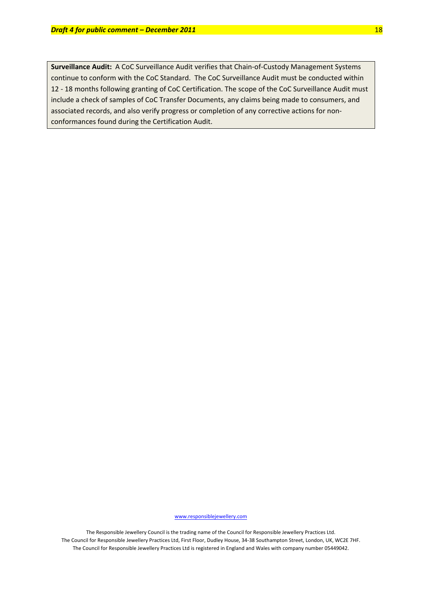**Surveillance Audit:** A CoC Surveillance Audit verifies that Chain-of-Custody Management Systems continue to conform with the CoC Standard. The CoC Surveillance Audit must be conducted within 12 - 18 months following granting of CoC Certification. The scope of the CoC Surveillance Audit must include a check of samples of CoC Transfer Documents, any claims being made to consumers, and associated records, and also verify progress or completion of any corrective actions for non‐ conformances found during the Certification Audit.

www.responsiblejewellery.com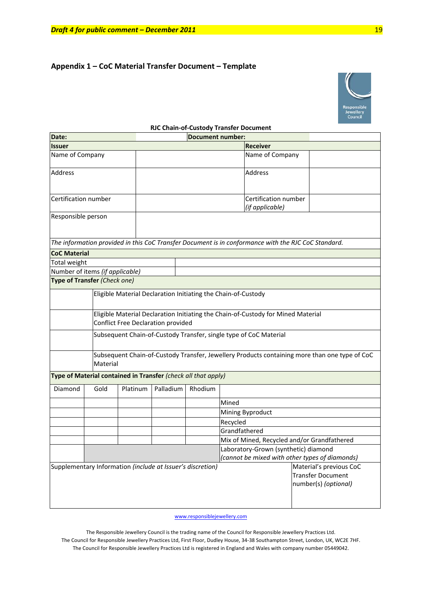# **Appendix 1 – CoC Material Transfer Document – Template**



|                                 |                                                               |                                                               |                                                                                                                               |         | <b>RJC Chain-of-Custody Transfer Document</b>                                                       |                                                                                               |
|---------------------------------|---------------------------------------------------------------|---------------------------------------------------------------|-------------------------------------------------------------------------------------------------------------------------------|---------|-----------------------------------------------------------------------------------------------------|-----------------------------------------------------------------------------------------------|
| Date:                           |                                                               |                                                               | <b>Document number:</b>                                                                                                       |         |                                                                                                     |                                                                                               |
| <b>Issuer</b>                   |                                                               |                                                               | <b>Receiver</b>                                                                                                               |         |                                                                                                     |                                                                                               |
| Name of Company                 |                                                               |                                                               |                                                                                                                               |         | Name of Company                                                                                     |                                                                                               |
| <b>Address</b>                  |                                                               |                                                               |                                                                                                                               |         | <b>Address</b>                                                                                      |                                                                                               |
| Certification number            |                                                               |                                                               |                                                                                                                               |         | Certification number<br>(if applicable)                                                             |                                                                                               |
| Responsible person              |                                                               |                                                               |                                                                                                                               |         |                                                                                                     |                                                                                               |
|                                 |                                                               |                                                               |                                                                                                                               |         | The information provided in this CoC Transfer Document is in conformance with the RJC CoC Standard. |                                                                                               |
| <b>CoC Material</b>             |                                                               |                                                               |                                                                                                                               |         |                                                                                                     |                                                                                               |
| Total weight                    |                                                               |                                                               |                                                                                                                               |         |                                                                                                     |                                                                                               |
| Number of items (if applicable) |                                                               |                                                               |                                                                                                                               |         |                                                                                                     |                                                                                               |
| Type of Transfer (Check one)    |                                                               |                                                               |                                                                                                                               |         |                                                                                                     |                                                                                               |
|                                 | Eligible Material Declaration Initiating the Chain-of-Custody |                                                               |                                                                                                                               |         |                                                                                                     |                                                                                               |
|                                 |                                                               |                                                               | Eligible Material Declaration Initiating the Chain-of-Custody for Mined Material<br><b>Conflict Free Declaration provided</b> |         |                                                                                                     |                                                                                               |
|                                 |                                                               |                                                               | Subsequent Chain-of-Custody Transfer, single type of CoC Material                                                             |         |                                                                                                     |                                                                                               |
|                                 | Material                                                      |                                                               |                                                                                                                               |         |                                                                                                     | Subsequent Chain-of-Custody Transfer, Jewellery Products containing more than one type of CoC |
|                                 |                                                               | Type of Material contained in Transfer (check all that apply) |                                                                                                                               |         |                                                                                                     |                                                                                               |
| Diamond                         | Gold                                                          | Platinum                                                      | Palladium                                                                                                                     | Rhodium |                                                                                                     |                                                                                               |
|                                 |                                                               |                                                               |                                                                                                                               |         | Mined                                                                                               |                                                                                               |
|                                 |                                                               |                                                               |                                                                                                                               |         | Mining Byproduct                                                                                    |                                                                                               |
|                                 |                                                               |                                                               |                                                                                                                               |         | Recycled                                                                                            |                                                                                               |
|                                 |                                                               |                                                               |                                                                                                                               |         | Grandfathered                                                                                       |                                                                                               |
|                                 |                                                               |                                                               |                                                                                                                               |         | Mix of Mined, Recycled and/or Grandfathered                                                         |                                                                                               |
|                                 |                                                               |                                                               |                                                                                                                               |         | Laboratory-Grown (synthetic) diamond                                                                |                                                                                               |
|                                 |                                                               |                                                               |                                                                                                                               |         | (cannot be mixed with other types of diamonds)                                                      |                                                                                               |
|                                 |                                                               | Supplementary Information (include at Issuer's discretion)    |                                                                                                                               |         |                                                                                                     | Material's previous CoC<br><b>Transfer Document</b><br>number(s) (optional)                   |
|                                 |                                                               |                                                               |                                                                                                                               |         |                                                                                                     |                                                                                               |

### **RJC Chain‐of‐Custody Transfer Document**

www.responsiblejewellery.com